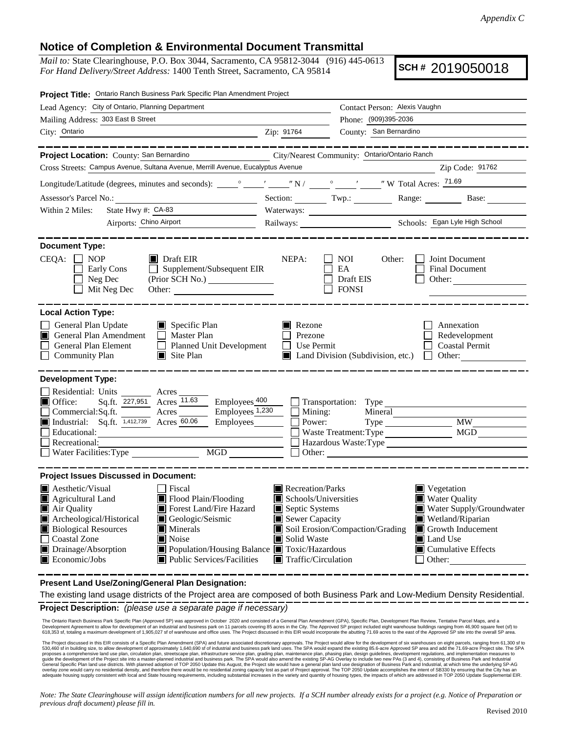## **Notice of Completion & Environmental Document Transmittal**

*Mail to:* State Clearinghouse, P.O. Box 3044, Sacramento, CA 95812-3044 (916) 445-0613 *For Hand Delivery/Street Address:* 1400 Tenth Street, Sacramento, CA 95814

**SCH #** 2019050018

| Project Title: Ontario Ranch Business Park Specific Plan Amendment Project                                                                                                                                                                                                                                                                                                              |                                                                                                                                                  |                                                                           |                                                                                                                                                                                    |
|-----------------------------------------------------------------------------------------------------------------------------------------------------------------------------------------------------------------------------------------------------------------------------------------------------------------------------------------------------------------------------------------|--------------------------------------------------------------------------------------------------------------------------------------------------|---------------------------------------------------------------------------|------------------------------------------------------------------------------------------------------------------------------------------------------------------------------------|
| Lead Agency: City of Ontario, Planning Department                                                                                                                                                                                                                                                                                                                                       | Contact Person: Alexis Vaughn                                                                                                                    |                                                                           |                                                                                                                                                                                    |
| Mailing Address: 303 East B Street                                                                                                                                                                                                                                                                                                                                                      | Phone: (909)395-2036                                                                                                                             |                                                                           |                                                                                                                                                                                    |
| City: Ontario<br><u> 1980 - Johann Barbara, martxa amerikan personal (h. 1980).</u>                                                                                                                                                                                                                                                                                                     | Zip: 91764                                                                                                                                       | County: San Bernardino                                                    |                                                                                                                                                                                    |
| ____________                                                                                                                                                                                                                                                                                                                                                                            |                                                                                                                                                  |                                                                           |                                                                                                                                                                                    |
| Project Location: County: San Bernardino                                                                                                                                                                                                                                                                                                                                                |                                                                                                                                                  | City/Nearest Community: Ontario/Ontario Ranch                             |                                                                                                                                                                                    |
| Cross Streets: Campus Avenue, Sultana Avenue, Merrill Avenue, Eucalyptus Avenue                                                                                                                                                                                                                                                                                                         |                                                                                                                                                  |                                                                           | Zip Code: 91762                                                                                                                                                                    |
|                                                                                                                                                                                                                                                                                                                                                                                         |                                                                                                                                                  |                                                                           |                                                                                                                                                                                    |
| Assessor's Parcel No.:                                                                                                                                                                                                                                                                                                                                                                  |                                                                                                                                                  |                                                                           | Section: Twp.: Range: Base: Base:                                                                                                                                                  |
| State Hwy #: CA-83<br>Within 2 Miles:                                                                                                                                                                                                                                                                                                                                                   |                                                                                                                                                  | Waterways:                                                                |                                                                                                                                                                                    |
| Airports: Chino Airport                                                                                                                                                                                                                                                                                                                                                                 |                                                                                                                                                  |                                                                           | Railways: <u>Chools: Egan Lyle High School</u>                                                                                                                                     |
| <b>Document Type:</b><br>$CEQA: \Box NOP$<br>$\blacksquare$ Draft EIR<br>$\Box$ Supplement/Subsequent EIR<br>Early Cons<br>Neg Dec<br>(Prior SCH No.)<br>Mit Neg Dec                                                                                                                                                                                                                    | NEPA:                                                                                                                                            | NOI<br>Other:<br>EA<br>Draft EIS<br><b>FONSI</b>                          | Joint Document<br>Final Document<br>Other:                                                                                                                                         |
| <b>Local Action Type:</b><br>General Plan Update<br>$\blacksquare$ Specific Plan<br>General Plan Amendment<br>$\Box$ Master Plan<br>n<br>General Plan Element<br>Planned Unit Development<br><b>Community Plan</b><br>$\Box$ Site Plan                                                                                                                                                  | Rezone<br>Prezone<br>$\Box$ Use Permit                                                                                                           | Land Division (Subdivision, etc.)                                         | Annexation<br>Redevelopment<br><b>Coastal Permit</b><br>Other:<br>$\mathbf{L}$                                                                                                     |
| <b>Development Type:</b><br>Residential: Units ________ Acres_<br>Employees 400<br>Sq.ft. 227,951 Acres 11.63<br>$\blacksquare$ Office:<br>$Commercial:Sq.fit.$ Acres $\frac{\qquad \qquad \text{Employes }1,230}{\qquad \qquad \text{Comployes }1,230}$<br>Industrial: Sq.ft. 1,412,739 Acres 60.06<br>Recreational:<br>MGD<br>$\Box$ Water Facilities: Type                           | $\Box$ Mining:<br>Power:                                                                                                                         | $\Box$ Transportation: Type<br>Mineral<br>Waste Treatment: Type<br>Other: | <b>MW</b><br>MGD<br>Hazardous Waste: Type                                                                                                                                          |
| <b>Project Issues Discussed in Document:</b>                                                                                                                                                                                                                                                                                                                                            |                                                                                                                                                  |                                                                           |                                                                                                                                                                                    |
| Aesthetic/Visual<br>  Fiscal<br>Agricultural Land<br>Flood Plain/Flooding<br>Air Quality<br>Forest Land/Fire Hazard<br>Archeological/Historical<br>Geologic/Seismic<br><b>Biological Resources</b><br>Minerals<br><b>Coastal Zone</b><br>Noise<br>■ Population/Housing Balance ■ Toxic/Hazardous<br>Drainage/Absorption<br>$\blacksquare$ Economic/Jobs<br>■ Public Services/Facilities | $\blacksquare$ Recreation/Parks<br>Schools/Universities<br>Septic Systems<br>Sewer Capacity<br>Solid Waste<br>$\blacksquare$ Traffic/Circulation | Soil Erosion/Compaction/Grading                                           | Vegetation<br><b>Water Quality</b><br>Water Supply/Groundwater<br>Wetland/Riparian<br>Growth Inducement<br><b>I</b> Land Use<br>$\blacksquare$ Cumulative Effects<br>$\Box$ Other: |

**Present Land Use/Zoning/General Plan Designation:**

**Project Description:** *(please use a separate page if necessary)* The existing land usage districts of the Project area are composed of both Business Park and Low-Medium Density Residential.

The Ontario Ranch Business Park Specific Plan (Approved SP) was approved in October 2020 and consisted of a General Plan Amendment (GPA), Specific Plan, Development Plan Review, Tentative Parcel Maps, and a<br>Development Agr

The Project discussed in this EIR consists of a Specific Plan Amendment (SPA) and future associated discretionary approval all and buy for the evisiting 85.6-acre Approved SP area and add the 71.69-acre Project site. The S

*Note: The State Clearinghouse will assign identification numbers for all new projects. If a SCH number already exists for a project (e.g. Notice of Preparation or previous draft document) please fill in.*